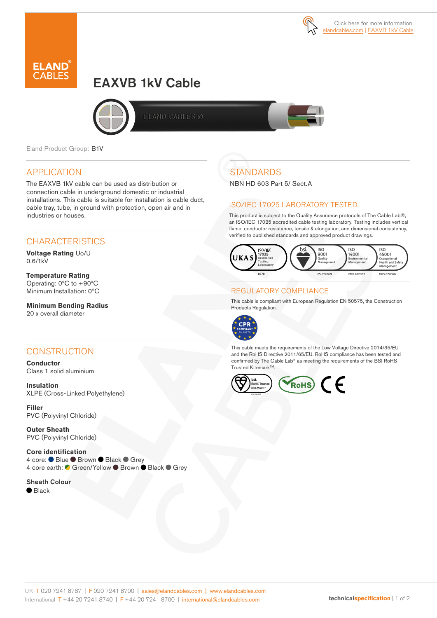



# EAXVB 1kV Cable



ELAND CABLES ©

Eland Product Group: B1V

### APPLICATION

The EAXVB 1kV cable can be used as distribution or connection cable in underground domestic or industrial installations. This cable is suitable for installation is cable duct, cable tray, tube, in ground with protection, open air and in industries or houses.

## **CHARACTERISTICS**

**Voltage Rating** Uo/U 0.6/1kV

**Temperature Rating** Operating: 0ºC to +90ºC Minimum Installation: 0ºC

**Minimum Bending Radius**  20 x overall diameter

### **CONSTRUCTION**

**Conductor** Class 1 solid aluminium

**Insulation** XLPE (Cross-Linked Polyethylene)

**Filler**  PVC (Polyvinyl Chloride)

**Outer Sheath** PVC (Polyvinyl Chloride)

**Core identification**  4 core: ● Blue ● Brown ● Black ● Grey 4 core earth: C Green/Yellow ● Brown ● Black ● Grey

Sheath Colour  $\bullet$  Black

## **STANDARDS**

NBN HD 603 Part 5/ Sect.A

### ISO/IEC 17025 LABORATORY TESTED

This product is subject to the Quality Assurance protocols of The Cable Lab®, an ISO/IEC 17025 accredited cable testing laboratory. Testing includes vertical flame, conductor resistance, tensile & elongation, and dimensional consistency, verified to published standards and approved product drawings.



#### REGULATORY COMPLIANCE

This cable is compliant with European Regulation EN 50575, the Construction Products Regulation.



This cable meets the requirements of the Low Voltage Directive 2014/35/EU and the RoHS Directive 2011/65/EU. RoHS compliance has been tested and confirmed by The Cable Lab® as meeting the requirements of the BSI RoHS Trusted KitemarkTM.